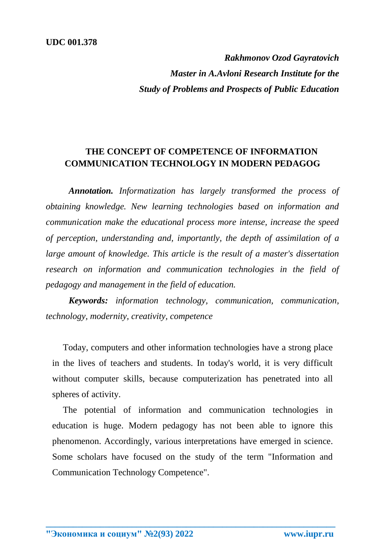*Rakhmonov Ozod Gayratovich Master in A.Avloni Research Institute for the Study of Problems and Prospects of Public Education*

## **THE CONCEPT OF COMPETENCE OF INFORMATION COMMUNICATION TECHNOLOGY IN MODERN PEDAGOG**

*Annotation. Informatization has largely transformed the process of obtaining knowledge. New learning technologies based on information and communication make the educational process more intense, increase the speed of perception, understanding and, importantly, the depth of assimilation of a large amount of knowledge. This article is the result of a master's dissertation research on information and communication technologies in the field of pedagogy and management in the field of education.*

*Keywords: information technology, communication, communication, technology, modernity, creativity, competence*

Today, computers and other information technologies have a strong place in the lives of teachers and students. In today's world, it is very difficult without computer skills, because computerization has penetrated into all spheres of activity.

The potential of information and communication technologies in education is huge. Modern pedagogy has not been able to ignore this phenomenon. Accordingly, various interpretations have emerged in science. Some scholars have focused on the study of the term "Information and Communication Technology Competence".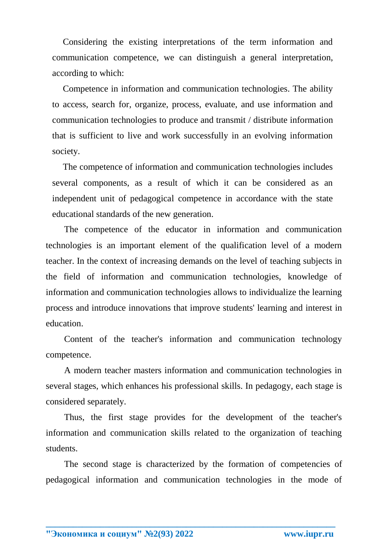Considering the existing interpretations of the term information and communication competence, we can distinguish a general interpretation, according to which:

Competence in information and communication technologies. The ability to access, search for, organize, process, evaluate, and use information and communication technologies to produce and transmit / distribute information that is sufficient to live and work successfully in an evolving information society.

The competence of information and communication technologies includes several components, as a result of which it can be considered as an independent unit of pedagogical competence in accordance with the state educational standards of the new generation.

The competence of the educator in information and communication technologies is an important element of the qualification level of a modern teacher. In the context of increasing demands on the level of teaching subjects in the field of information and communication technologies, knowledge of information and communication technologies allows to individualize the learning process and introduce innovations that improve students' learning and interest in education.

Content of the teacher's information and communication technology competence.

A modern teacher masters information and communication technologies in several stages, which enhances his professional skills. In pedagogy, each stage is considered separately.

Thus, the first stage provides for the development of the teacher's information and communication skills related to the organization of teaching students.

The second stage is characterized by the formation of competencies of pedagogical information and communication technologies in the mode of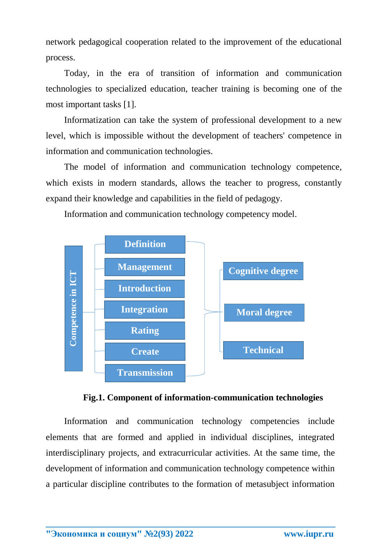network pedagogical cooperation related to the improvement of the educational process.

Today, in the era of transition of information and communication technologies to specialized education, teacher training is becoming one of the most important tasks [1].

Informatization can take the system of professional development to a new level, which is impossible without the development of teachers' competence in information and communication technologies.

The model of information and communication technology competence, which exists in modern standards, allows the teacher to progress, constantly expand their knowledge and capabilities in the field of pedagogy.

Information and communication technology competency model.





Information and communication technology competencies include elements that are formed and applied in individual disciplines, integrated interdisciplinary projects, and extracurricular activities. At the same time, the development of information and communication technology competence within a particular discipline contributes to the formation of metasubject information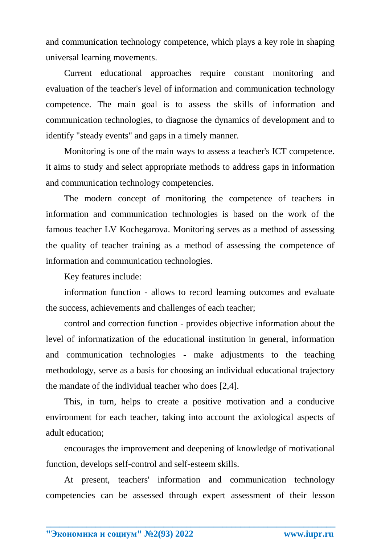and communication technology competence, which plays a key role in shaping universal learning movements.

Current educational approaches require constant monitoring and evaluation of the teacher's level of information and communication technology competence. The main goal is to assess the skills of information and communication technologies, to diagnose the dynamics of development and to identify "steady events" and gaps in a timely manner.

Monitoring is one of the main ways to assess a teacher's ICT competence. it aims to study and select appropriate methods to address gaps in information and communication technology competencies.

The modern concept of monitoring the competence of teachers in information and communication technologies is based on the work of the famous teacher LV Kochegarova. Monitoring serves as a method of assessing the quality of teacher training as a method of assessing the competence of information and communication technologies.

Key features include:

information function - allows to record learning outcomes and evaluate the success, achievements and challenges of each teacher;

control and correction function - provides objective information about the level of informatization of the educational institution in general, information and communication technologies - make adjustments to the teaching methodology, serve as a basis for choosing an individual educational trajectory the mandate of the individual teacher who does [2,4].

This, in turn, helps to create a positive motivation and a conducive environment for each teacher, taking into account the axiological aspects of adult education;

encourages the improvement and deepening of knowledge of motivational function, develops self-control and self-esteem skills.

At present, teachers' information and communication technology competencies can be assessed through expert assessment of their lesson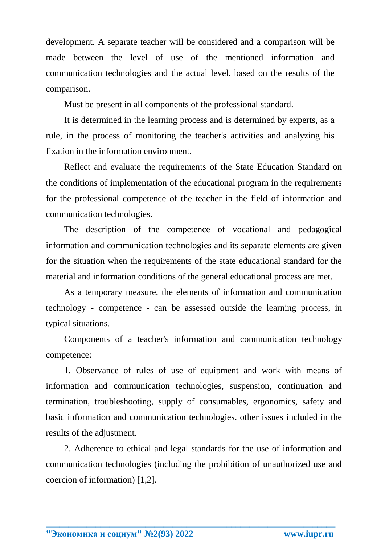development. A separate teacher will be considered and a comparison will be made between the level of use of the mentioned information and communication technologies and the actual level. based on the results of the comparison.

Must be present in all components of the professional standard.

It is determined in the learning process and is determined by experts, as a rule, in the process of monitoring the teacher's activities and analyzing his fixation in the information environment.

Reflect and evaluate the requirements of the State Education Standard on the conditions of implementation of the educational program in the requirements for the professional competence of the teacher in the field of information and communication technologies.

The description of the competence of vocational and pedagogical information and communication technologies and its separate elements are given for the situation when the requirements of the state educational standard for the material and information conditions of the general educational process are met.

As a temporary measure, the elements of information and communication technology - competence - can be assessed outside the learning process, in typical situations.

Components of a teacher's information and communication technology competence:

1. Observance of rules of use of equipment and work with means of information and communication technologies, suspension, continuation and termination, troubleshooting, supply of consumables, ergonomics, safety and basic information and communication technologies. other issues included in the results of the adjustment.

2. Adherence to ethical and legal standards for the use of information and communication technologies (including the prohibition of unauthorized use and coercion of information) [1,2].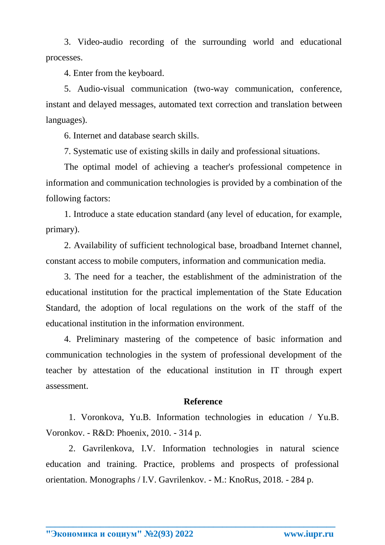3. Video-audio recording of the surrounding world and educational processes.

4. Enter from the keyboard.

5. Audio-visual communication (two-way communication, conference, instant and delayed messages, automated text correction and translation between languages).

6. Internet and database search skills.

7. Systematic use of existing skills in daily and professional situations.

The optimal model of achieving a teacher's professional competence in information and communication technologies is provided by a combination of the following factors:

1. Introduce a state education standard (any level of education, for example, primary).

2. Availability of sufficient technological base, broadband Internet channel, constant access to mobile computers, information and communication media.

3. The need for a teacher, the establishment of the administration of the educational institution for the practical implementation of the State Education Standard, the adoption of local regulations on the work of the staff of the educational institution in the information environment.

4. Preliminary mastering of the competence of basic information and communication technologies in the system of professional development of the teacher by attestation of the educational institution in IT through expert assessment.

## **Reference**

1. Voronkova, Yu.B. Information technologies in education / Yu.B. Voronkov. - R&D: Phoenix, 2010. - 314 p.

2. Gavrilenkova, I.V. Information technologies in natural science education and training. Practice, problems and prospects of professional orientation. Monographs / I.V. Gavrilenkov. - M.: KnoRus, 2018. - 284 p.